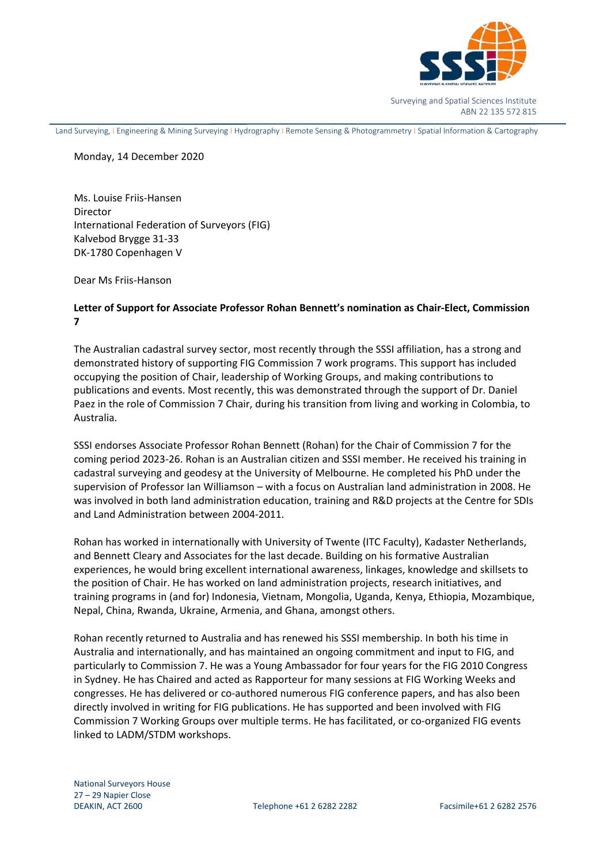

Surveying and Spatial Sciences Institute ABN 22 135 572 815

Land Surveying, I Engineering & Mining Surveying I Hydrography I Remote Sensing & Photogrammetry I Spatial Information & Cartography

## Monday, 14 December 2020

Ms. Louise Friis-Hansen Director International Federation of Surveyors (FIG) Kalvebod Brygge 31-33 DK-1780 Copenhagen V

Dear Ms Friis-Hanson

## **Letter of Support for Associate Professor Rohan Bennett's nomination as Chair-Elect, Commission 7**

The Australian cadastral survey sector, most recently through the SSSI affiliation, has a strong and demonstrated history of supporting FIG Commission 7 work programs. This support has included occupying the position of Chair, leadership of Working Groups, and making contributions to publications and events. Most recently, this was demonstrated through the support of Dr. Daniel Paez in the role of Commission 7 Chair, during his transition from living and working in Colombia, to Australia.

SSSI endorses Associate Professor Rohan Bennett (Rohan) for the Chair of Commission 7 for the coming period 2023-26. Rohan is an Australian citizen and SSSI member. He received his training in cadastral surveying and geodesy at the University of Melbourne. He completed his PhD under the supervision of Professor Ian Williamson – with a focus on Australian land administration in 2008. He was involved in both land administration education, training and R&D projects at the Centre for SDIs and Land Administration between 2004-2011.

Rohan has worked in internationally with University of Twente (ITC Faculty), Kadaster Netherlands, and Bennett Cleary and Associates for the last decade. Building on his formative Australian experiences, he would bring excellent international awareness, linkages, knowledge and skillsets to the position of Chair. He has worked on land administration projects, research initiatives, and training programs in (and for) Indonesia, Vietnam, Mongolia, Uganda, Kenya, Ethiopia, Mozambique, Nepal, China, Rwanda, Ukraine, Armenia, and Ghana, amongst others.

Rohan recently returned to Australia and has renewed his SSSI membership. In both his time in Australia and internationally, and has maintained an ongoing commitment and input to FIG, and particularly to Commission 7. He was a Young Ambassador for four years for the FIG 2010 Congress in Sydney. He has Chaired and acted as Rapporteur for many sessions at FIG Working Weeks and congresses. He has delivered or co-authored numerous FIG conference papers, and has also been directly involved in writing for FIG publications. He has supported and been involved with FIG Commission 7 Working Groups over multiple terms. He has facilitated, or co-organized FIG events linked to LADM/STDM workshops.